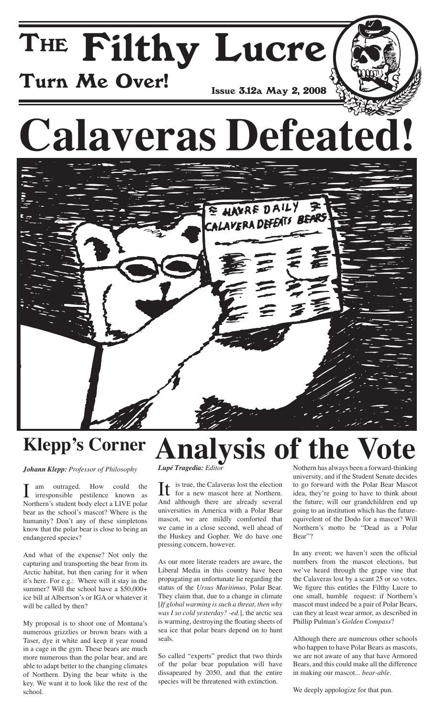## The Filthy Lucre Turn Me Over! Issue 3.12a May 2, 2008

# **Calaveras Defeated!**



#### **Klepp's Corner Analysis of the**

*Johann Klepp: Professor of Philosophy*

I am outraged. How could the irresponsible pestilence known as Northern's student body elect a LIVE polar bear as the school's mascot? Where is the humanity? Don't any of these simpletons know that the polar bear is close to being an endangered species?

And what of the expense? Not only the capturing and transporting the bear from its Arctic habitat, but then caring for it when it's here. For e.g.: Where will it stay in the summer? Will the school have a \$50,000+ ice bill at Albertson's or IGA or whatever it will be called by then?

My proposal is to shoot one of Montana's numerous grizzlies or brown bears with a Taser, dye it white and keep it year round in a cage in the gym. These bears are much more numerous than the polar bear, and are able to adapt better to the changing climates of Northern. Dying the bear white is the key. We want it to look like the rest of the school.

*Lupé Tragedia: Editor*

 $\prod$  is true, the Calaveras lost the election<br>for a new mascot here at Northern for a new mascot here at Northern. And although there are already several universities in America with a Polar Bear mascot, we are mildly comforted that we came in a close second, well ahead of the Huskey and Gopher. We do have one pressing concern, however.

As our more literate readers are aware, the Liberal Media in this country have been propagating an unfortunate lie regarding the status of the *Ursus Maritimus,* Polar Bear. They claim that, due to a change in climate [*If global warming is such a threat, then why was I so cold yesterday? -ed.*], the arctic sea is warming, destroying the floating sheets of sea ice that polar bears depend on to hunt seals.

So called "experts" predict that two thirds of the polar bear population will have dissapeared by 2050, and that the entire species will be threatened with extinction.

Nothern has always been a forward-thinking university, and if the Student Senate decides to go forward with the Polar Bear Mascot idea, they're going to have to think about the future; will our grandchildren end up going to an institution which has the futureequivelent of the Dodo for a mascot? Will Northern's motto be "Dead as a Polar Bear"?

In any event; we haven't seen the official numbers from the mascot elections, but we've heard through the grape vine that the Calaveras lost by a scant 25 or so votes. We figure this entitles the Filthy Lucre to one small, humble request: if Northern's mascot must indeed be a pair of Polar Bears, can they at least wear armor, as described in Phillip Pulman's *Golden Compass*?

Although there are numerous other schools who happen to have Polar Bears as mascots, we are not aware of any that have Armored Bears, and this could make all the difference in making our mascot... *bear-able*.

We deeply appologize for that pun.